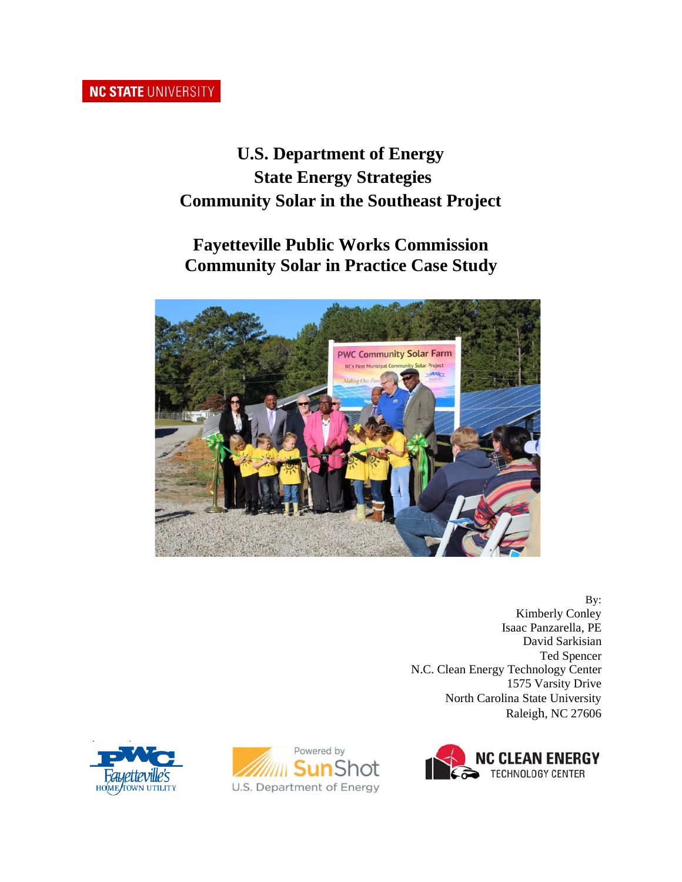# **NC STATE UNIVERSITY**

# **U.S. Department of Energy State Energy Strategies Community Solar in the Southeast Project**

# **Fayetteville Public Works Commission Community Solar in Practice Case Study**



By: Kimberly Conley Isaac Panzarella, PE David Sarkisian Ted Spencer N.C. Clean Energy Technology Center 1575 Varsity Drive North Carolina State University Raleigh, NC 27606





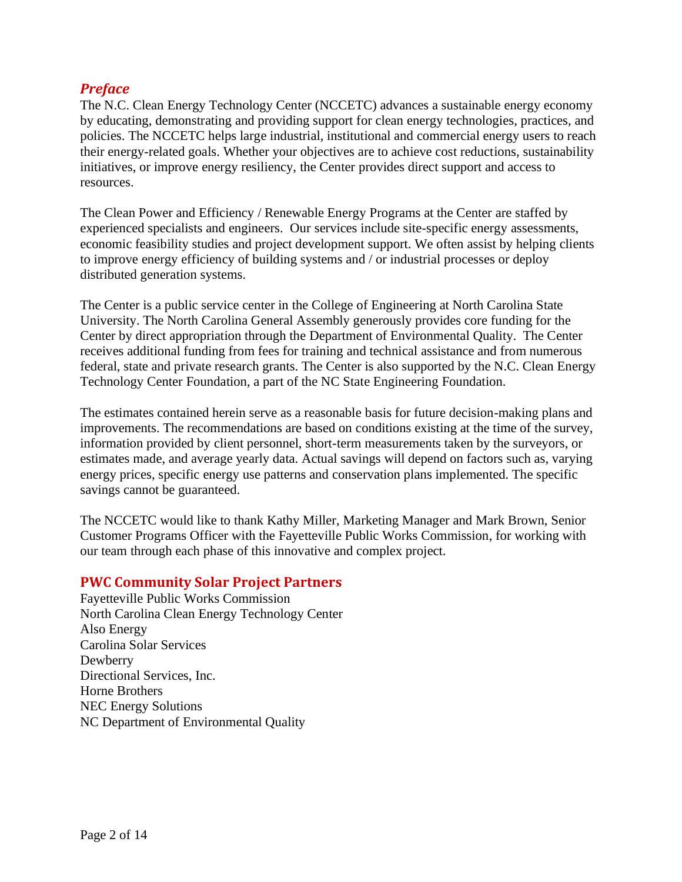## *Preface*

The N.C. Clean Energy Technology Center (NCCETC) advances a sustainable energy economy by educating, demonstrating and providing support for clean energy technologies, practices, and policies. The NCCETC helps large industrial, institutional and commercial energy users to reach their energy-related goals. Whether your objectives are to achieve cost reductions, sustainability initiatives, or improve energy resiliency, the Center provides direct support and access to resources.

The Clean Power and Efficiency / Renewable Energy Programs at the Center are staffed by experienced specialists and engineers. Our services include site-specific energy assessments, economic feasibility studies and project development support. We often assist by helping clients to improve energy efficiency of building systems and / or industrial processes or deploy distributed generation systems.

The Center is a public service center in the College of Engineering at North Carolina State University. The North Carolina General Assembly generously provides core funding for the Center by direct appropriation through the Department of Environmental Quality. The Center receives additional funding from fees for training and technical assistance and from numerous federal, state and private research grants. The Center is also supported by the N.C. Clean Energy Technology Center Foundation, a part of the NC State Engineering Foundation.

The estimates contained herein serve as a reasonable basis for future decision-making plans and improvements. The recommendations are based on conditions existing at the time of the survey, information provided by client personnel, short-term measurements taken by the surveyors, or estimates made, and average yearly data. Actual savings will depend on factors such as, varying energy prices, specific energy use patterns and conservation plans implemented. The specific savings cannot be guaranteed.

The NCCETC would like to thank Kathy Miller, Marketing Manager and Mark Brown, Senior Customer Programs Officer with the Fayetteville Public Works Commission, for working with our team through each phase of this innovative and complex project.

#### **PWC Community Solar Project Partners**

Fayetteville Public Works Commission North Carolina Clean Energy Technology Center Also Energy Carolina Solar Services Dewberry Directional Services, Inc. Horne Brothers NEC Energy Solutions NC Department of Environmental Quality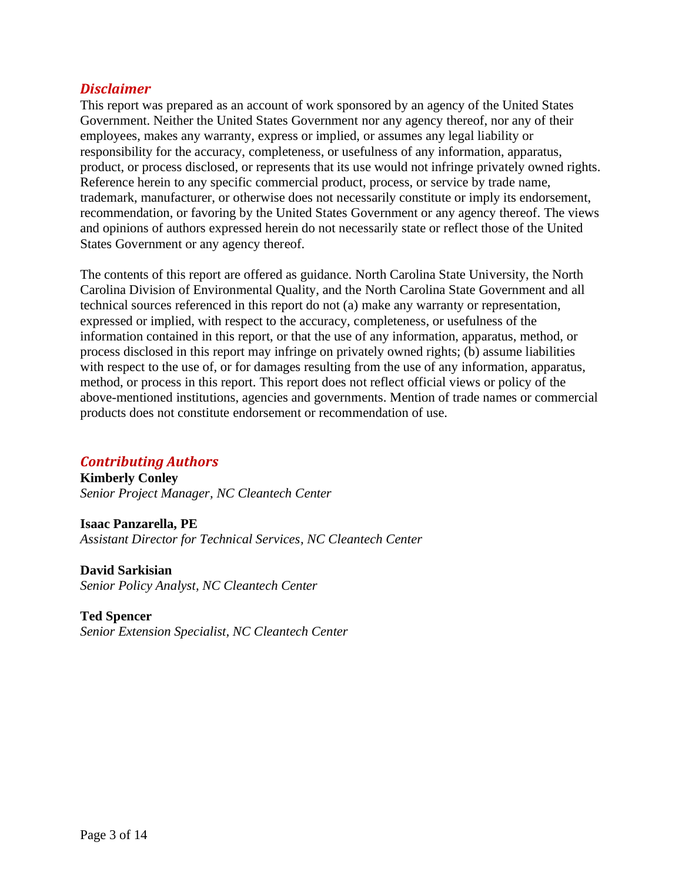### *Disclaimer*

This report was prepared as an account of work sponsored by an agency of the United States Government. Neither the United States Government nor any agency thereof, nor any of their employees, makes any warranty, express or implied, or assumes any legal liability or responsibility for the accuracy, completeness, or usefulness of any information, apparatus, product, or process disclosed, or represents that its use would not infringe privately owned rights. Reference herein to any specific commercial product, process, or service by trade name, trademark, manufacturer, or otherwise does not necessarily constitute or imply its endorsement, recommendation, or favoring by the United States Government or any agency thereof. The views and opinions of authors expressed herein do not necessarily state or reflect those of the United States Government or any agency thereof.

The contents of this report are offered as guidance. North Carolina State University, the North Carolina Division of Environmental Quality, and the North Carolina State Government and all technical sources referenced in this report do not (a) make any warranty or representation, expressed or implied, with respect to the accuracy, completeness, or usefulness of the information contained in this report, or that the use of any information, apparatus, method, or process disclosed in this report may infringe on privately owned rights; (b) assume liabilities with respect to the use of, or for damages resulting from the use of any information, apparatus, method, or process in this report. This report does not reflect official views or policy of the above-mentioned institutions, agencies and governments. Mention of trade names or commercial products does not constitute endorsement or recommendation of use.

## *Contributing Authors*

**Kimberly Conley** *Senior Project Manager, NC Cleantech Center*

**Isaac Panzarella, PE** *Assistant Director for Technical Services, NC Cleantech Center*

**David Sarkisian** *Senior Policy Analyst, NC Cleantech Center*

**Ted Spencer** *Senior Extension Specialist, NC Cleantech Center*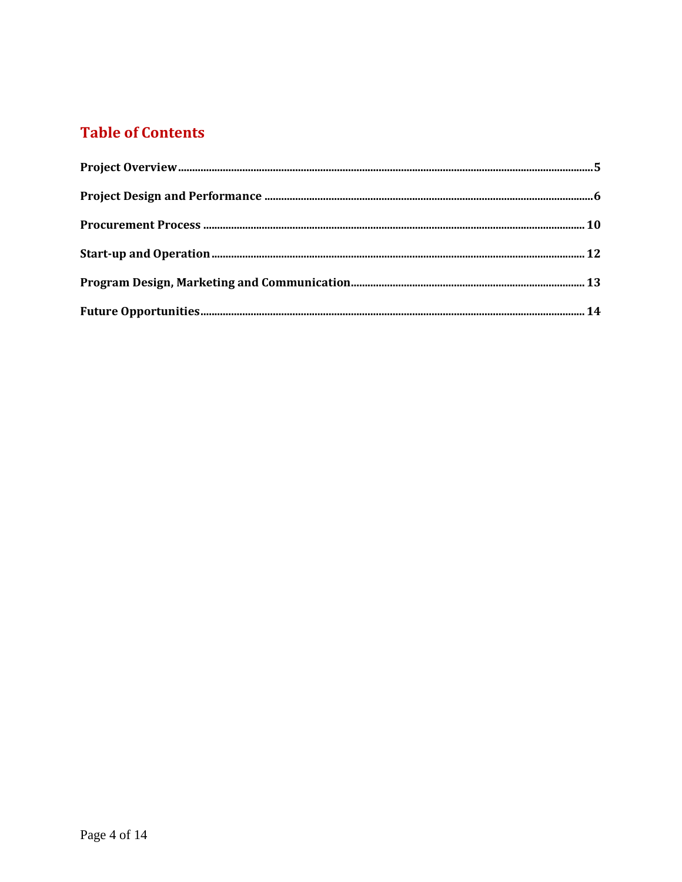# **Table of Contents**

<span id="page-3-0"></span>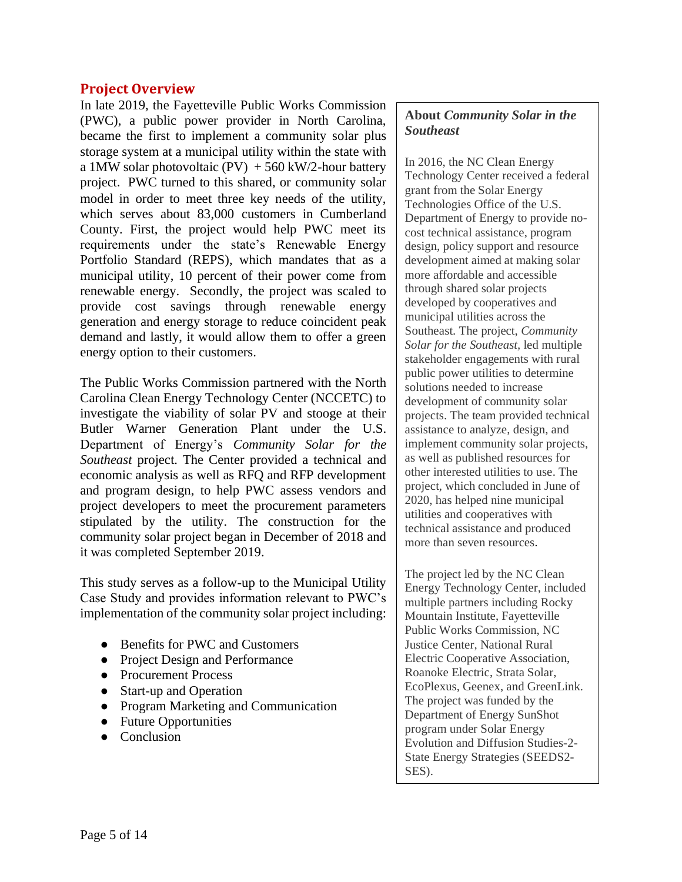#### **Project Overview**

In late 2019, the Fayetteville Public Works Commission (PWC), a public power provider in North Carolina, became the first to implement a community solar plus storage system at a municipal utility within the state with a 1MW solar photovoltaic (PV)  $+560$  kW/2-hour battery project. PWC turned to this shared, or community solar model in order to meet three key needs of the utility, which serves about 83,000 customers in Cumberland County. First, the project would help PWC meet its requirements under the state's Renewable Energy Portfolio Standard (REPS), which mandates that as a municipal utility, 10 percent of their power come from renewable energy. Secondly, the project was scaled to provide cost savings through renewable energy generation and energy storage to reduce coincident peak demand and lastly, it would allow them to offer a green energy option to their customers.

The Public Works Commission partnered with the North Carolina Clean Energy Technology Center (NCCETC) to investigate the viability of solar PV and stooge at their Butler Warner Generation Plant under the U.S. Department of Energy's *Community Solar for the Southeast* project. The Center provided a technical and economic analysis as well as RFQ and RFP development and program design, to help PWC assess vendors and project developers to meet the procurement parameters stipulated by the utility. The construction for the community solar project began in December of 2018 and it was completed September 2019.

This study serves as a follow-up to the Municipal Utility Case Study and provides information relevant to PWC's implementation of the community solar project including:

- Benefits for PWC and Customers
- Project Design and Performance
- Procurement Process
- Start-up and Operation
- Program Marketing and Communication
- Future Opportunities
- Conclusion

## **About** *Community Solar in the Southeast*

In 2016, the NC Clean Energy Technology Center received a federal grant from the Solar Energy Technologies Office of the U.S. Department of Energy to provide nocost technical assistance, program design, policy support and resource development aimed at making solar more affordable and accessible through shared solar projects developed by cooperatives and municipal utilities across the Southeast. The project, *Community Solar for the Southeast,* led multiple stakeholder engagements with rural public power utilities to determine solutions needed to increase development of community solar projects. The team provided technical assistance to analyze, design, and implement community solar projects, as well as published resources for other interested utilities to use. The project, which concluded in June of 2020, has helped nine municipal utilities and cooperatives with technical assistance and produced more than seven resources.

The project led by the NC Clean Energy Technology Center, included multiple partners including Rocky Mountain Institute, Fayetteville Public Works Commission, NC Justice Center, National Rural Electric Cooperative Association, Roanoke Electric, Strata Solar, EcoPlexus, Geenex, and GreenLink. The project was funded by the Department of Energy SunShot program under Solar Energy Evolution and Diffusion Studies-2- State Energy Strategies (SEEDS2- SES).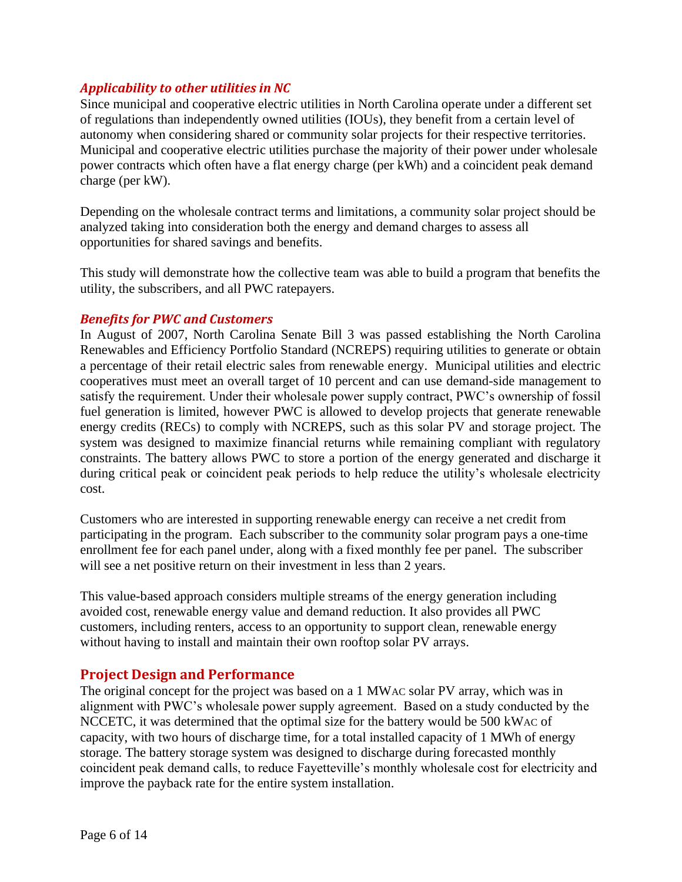### *Applicability to other utilities in NC*

Since municipal and cooperative electric utilities in North Carolina operate under a different set of regulations than independently owned utilities (IOUs), they benefit from a certain level of autonomy when considering shared or community solar projects for their respective territories. Municipal and cooperative electric utilities purchase the majority of their power under wholesale power contracts which often have a flat energy charge (per kWh) and a coincident peak demand charge (per kW).

Depending on the wholesale contract terms and limitations, a community solar project should be analyzed taking into consideration both the energy and demand charges to assess all opportunities for shared savings and benefits.

This study will demonstrate how the collective team was able to build a program that benefits the utility, the subscribers, and all PWC ratepayers.

#### *Benefits for PWC and Customers*

In August of 2007, North Carolina Senate Bill 3 was passed establishing the North Carolina Renewables and Efficiency Portfolio Standard (NCREPS) requiring utilities to generate or obtain a percentage of their retail electric sales from renewable energy. Municipal utilities and electric cooperatives must meet an overall target of 10 percent and can use demand-side management to satisfy the requirement. Under their wholesale power supply contract, PWC's ownership of fossil fuel generation is limited, however PWC is allowed to develop projects that generate renewable energy credits (RECs) to comply with NCREPS, such as this solar PV and storage project. The system was designed to maximize financial returns while remaining compliant with regulatory constraints. The battery allows PWC to store a portion of the energy generated and discharge it during critical peak or coincident peak periods to help reduce the utility's wholesale electricity cost.

Customers who are interested in supporting renewable energy can receive a net credit from participating in the program. Each subscriber to the community solar program pays a one-time enrollment fee for each panel under, along with a fixed monthly fee per panel. The subscriber will see a net positive return on their investment in less than 2 years.

This value-based approach considers multiple streams of the energy generation including avoided cost, renewable energy value and demand reduction. It also provides all PWC customers, including renters, access to an opportunity to support clean, renewable energy without having to install and maintain their own rooftop solar PV arrays.

#### <span id="page-5-0"></span>**Project Design and Performance**

The original concept for the project was based on a 1 MWAC solar PV array, which was in alignment with PWC's wholesale power supply agreement. Based on a study conducted by the NCCETC, it was determined that the optimal size for the battery would be 500 kWAC of capacity, with two hours of discharge time, for a total installed capacity of 1 MWh of energy storage. The battery storage system was designed to discharge during forecasted monthly coincident peak demand calls, to reduce Fayetteville's monthly wholesale cost for electricity and improve the payback rate for the entire system installation.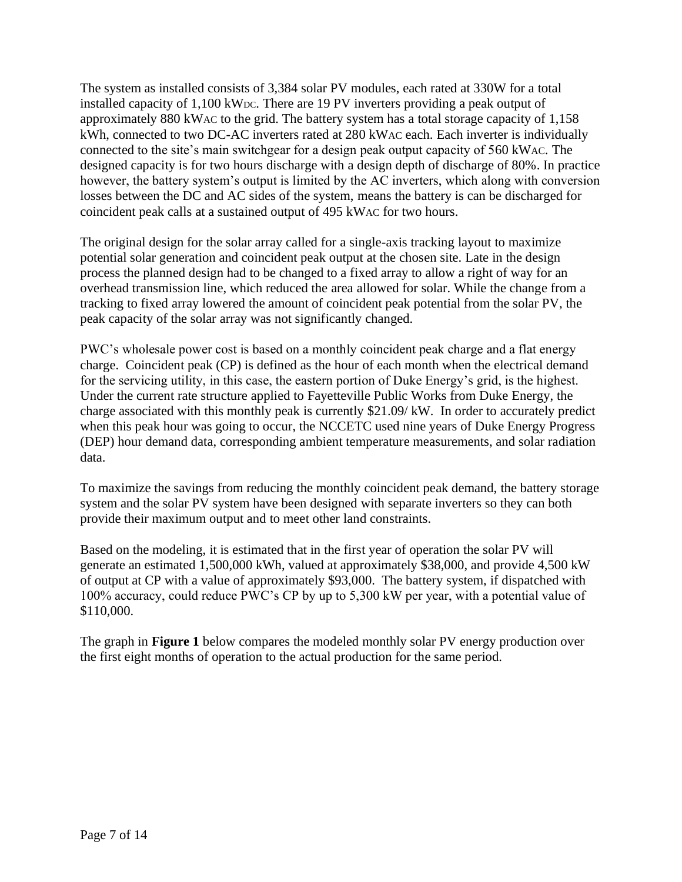The system as installed consists of 3,384 solar PV modules, each rated at 330W for a total installed capacity of 1,100 kW<sub>DC</sub>. There are 19 PV inverters providing a peak output of approximately 880 kWAC to the grid. The battery system has a total storage capacity of 1,158 kWh, connected to two DC-AC inverters rated at 280 kWAC each. Each inverter is individually connected to the site's main switchgear for a design peak output capacity of 560 kWAC. The designed capacity is for two hours discharge with a design depth of discharge of 80%. In practice however, the battery system's output is limited by the AC inverters, which along with conversion losses between the DC and AC sides of the system, means the battery is can be discharged for coincident peak calls at a sustained output of 495 kWAC for two hours.

The original design for the solar array called for a single-axis tracking layout to maximize potential solar generation and coincident peak output at the chosen site. Late in the design process the planned design had to be changed to a fixed array to allow a right of way for an overhead transmission line, which reduced the area allowed for solar. While the change from a tracking to fixed array lowered the amount of coincident peak potential from the solar PV, the peak capacity of the solar array was not significantly changed.

PWC's wholesale power cost is based on a monthly coincident peak charge and a flat energy charge. Coincident peak (CP) is defined as the hour of each month when the electrical demand for the servicing utility, in this case, the eastern portion of Duke Energy's grid, is the highest. Under the current rate structure applied to Fayetteville Public Works from Duke Energy, the charge associated with this monthly peak is currently \$21.09/ kW. In order to accurately predict when this peak hour was going to occur, the NCCETC used nine years of Duke Energy Progress (DEP) hour demand data, corresponding ambient temperature measurements, and solar radiation data.

To maximize the savings from reducing the monthly coincident peak demand, the battery storage system and the solar PV system have been designed with separate inverters so they can both provide their maximum output and to meet other land constraints.

Based on the modeling, it is estimated that in the first year of operation the solar PV will generate an estimated 1,500,000 kWh, valued at approximately \$38,000, and provide 4,500 kW of output at CP with a value of approximately \$93,000. The battery system, if dispatched with 100% accuracy, could reduce PWC's CP by up to 5,300 kW per year, with a potential value of \$110,000.

The graph in **Figure 1** below compares the modeled monthly solar PV energy production over the first eight months of operation to the actual production for the same period.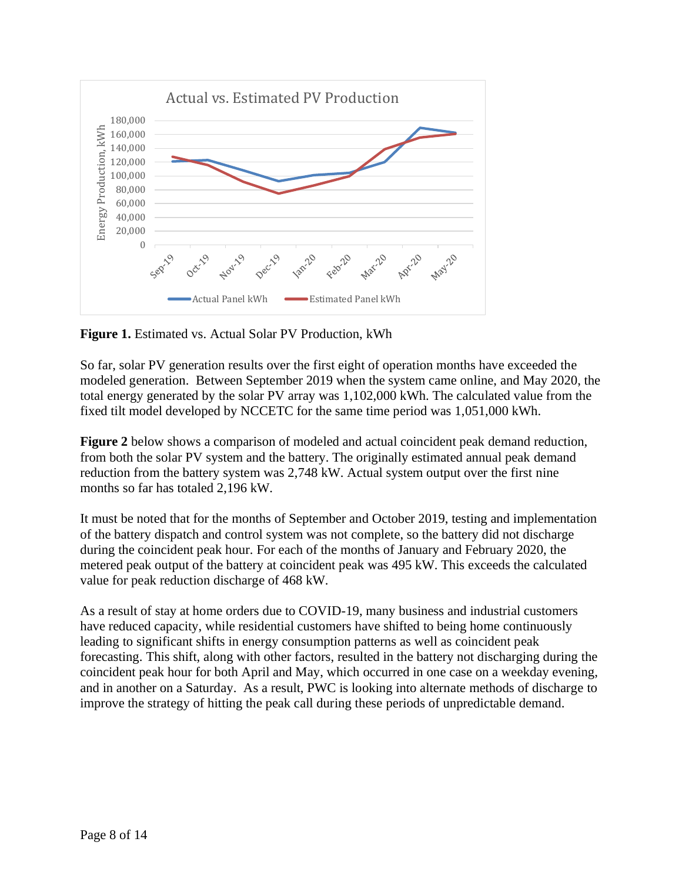

**Figure 1.** Estimated vs. Actual Solar PV Production, kWh

So far, solar PV generation results over the first eight of operation months have exceeded the modeled generation. Between September 2019 when the system came online, and May 2020, the total energy generated by the solar PV array was 1,102,000 kWh. The calculated value from the fixed tilt model developed by NCCETC for the same time period was 1,051,000 kWh.

**Figure 2** below shows a comparison of modeled and actual coincident peak demand reduction, from both the solar PV system and the battery. The originally estimated annual peak demand reduction from the battery system was 2,748 kW. Actual system output over the first nine months so far has totaled 2,196 kW.

It must be noted that for the months of September and October 2019, testing and implementation of the battery dispatch and control system was not complete, so the battery did not discharge during the coincident peak hour. For each of the months of January and February 2020, the metered peak output of the battery at coincident peak was 495 kW. This exceeds the calculated value for peak reduction discharge of 468 kW.

As a result of stay at home orders due to COVID-19, many business and industrial customers have reduced capacity, while residential customers have shifted to being home continuously leading to significant shifts in energy consumption patterns as well as coincident peak forecasting. This shift, along with other factors, resulted in the battery not discharging during the coincident peak hour for both April and May, which occurred in one case on a weekday evening, and in another on a Saturday. As a result, PWC is looking into alternate methods of discharge to improve the strategy of hitting the peak call during these periods of unpredictable demand.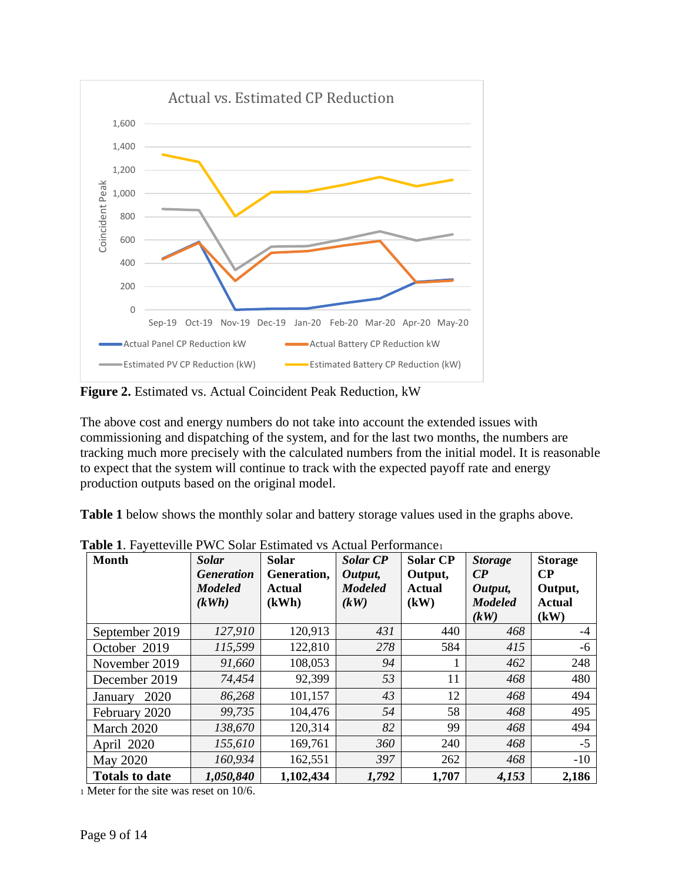

**Figure 2.** Estimated vs. Actual Coincident Peak Reduction, kW

The above cost and energy numbers do not take into account the extended issues with commissioning and dispatching of the system, and for the last two months, the numbers are tracking much more precisely with the calculated numbers from the initial model. It is reasonable to expect that the system will continue to track with the expected payoff rate and energy production outputs based on the original model.

Table 1 below shows the monthly solar and battery storage values used in the graphs above.

| <b>Month</b>          | <b>Solar</b><br><i><b>Generation</b></i><br><b>Modeled</b> | <b>Solar</b><br>Generation.<br><b>Actual</b> | <b>Solar CP</b><br>Output,<br><b>Modeled</b> | <b>Solar CP</b><br>Output,<br><b>Actual</b> | <b>Storage</b><br>$\mathbb{C}P$<br>Output, | <b>Storage</b><br>$\bf CP$<br>Output, |
|-----------------------|------------------------------------------------------------|----------------------------------------------|----------------------------------------------|---------------------------------------------|--------------------------------------------|---------------------------------------|
|                       | (kWh)                                                      | (kWh)                                        | (kW)                                         | (kW)                                        | <b>Modeled</b><br>(kW)                     | Actual<br>(kW)                        |
| September 2019        | 127,910                                                    | 120,913                                      | 431                                          | 440                                         | 468                                        | $-4$                                  |
| October 2019          | 115,599                                                    | 122,810                                      | 278                                          | 584                                         | 415                                        | -6                                    |
| November 2019         | 91,660                                                     | 108,053                                      | 94                                           | 1                                           | 462                                        | 248                                   |
| December 2019         | 74,454                                                     | 92,399                                       | 53                                           | 11                                          | 468                                        | 480                                   |
| 2020<br>January       | 86,268                                                     | 101,157                                      | 43                                           | 12                                          | 468                                        | 494                                   |
| February 2020         | 99,735                                                     | 104,476                                      | 54                                           | 58                                          | 468                                        | 495                                   |
| March 2020            | 138,670                                                    | 120,314                                      | 82                                           | 99                                          | 468                                        | 494                                   |
| April 2020            | 155,610                                                    | 169,761                                      | 360                                          | 240                                         | 468                                        | $-5$                                  |
| May 2020              | 160,934                                                    | 162,551                                      | 397                                          | 262                                         | 468                                        | $-10$                                 |
| <b>Totals to date</b> | 1,050,840                                                  | 1,102,434                                    | 1,792                                        | 1,707                                       | 4,153                                      | 2,186                                 |

**Table 1.** Fayetteville PWC Solar Estimated vs Actual Performance<sup>1</sup>

<sup>1</sup> Meter for the site was reset on 10/6.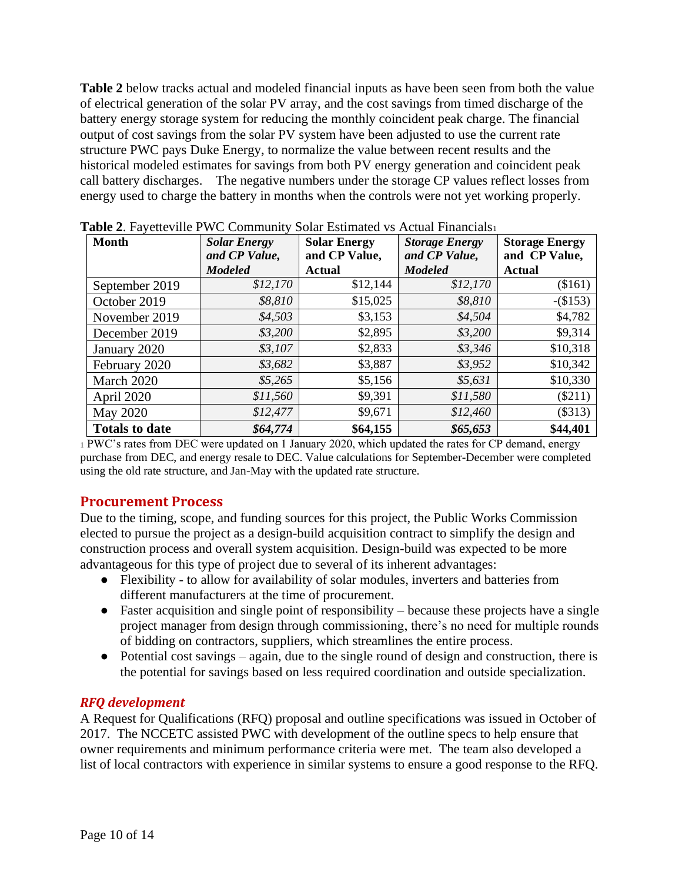**Table 2** below tracks actual and modeled financial inputs as have been seen from both the value of electrical generation of the solar PV array, and the cost savings from timed discharge of the battery energy storage system for reducing the monthly coincident peak charge. The financial output of cost savings from the solar PV system have been adjusted to use the current rate structure PWC pays Duke Energy, to normalize the value between recent results and the historical modeled estimates for savings from both PV energy generation and coincident peak call battery discharges. The negative numbers under the storage CP values reflect losses from energy used to charge the battery in months when the controls were not yet working properly.

| <b>Month</b>          | <b>Solar Energy</b><br>and CP Value, | <b>Solar Energy</b><br>and CP Value, | <b>Storage Energy</b><br>and CP Value, | <b>Storage Energy</b><br>and CP Value, |  |
|-----------------------|--------------------------------------|--------------------------------------|----------------------------------------|----------------------------------------|--|
|                       | <b>Modeled</b>                       | <b>Actual</b>                        | <b>Modeled</b>                         | <b>Actual</b>                          |  |
| September 2019        | \$12,170                             | \$12,144                             | \$12,170                               | (\$161)                                |  |
| October 2019          | \$8,810                              | \$15,025                             | \$8,810                                | $-(\$153)$                             |  |
| November 2019         | \$4,503                              | \$3,153                              | \$4,504                                | \$4,782                                |  |
| December 2019         | \$3,200                              | \$2,895                              | \$3,200                                | \$9,314                                |  |
| January 2020          | \$3,107                              | \$2,833                              | \$3,346                                | \$10,318                               |  |
| February 2020         | \$3,682                              | \$3,887                              | \$3,952                                | \$10,342                               |  |
| March 2020            | \$5,265                              | \$5,156                              | \$5,631                                | \$10,330                               |  |
| April 2020            | \$11,560                             | \$9,391                              | \$11,580                               | $(\$211)$                              |  |
| May 2020              | \$12,477                             | \$9,671                              | \$12,460                               | (\$313)                                |  |
| <b>Totals to date</b> | \$64,774                             | \$64,155                             | \$65,653                               | \$44,401                               |  |

**Table 2**. Fayetteville PWC Community Solar Estimated vs Actual Financials<sup>1</sup>

<sup>1</sup> PWC's rates from DEC were updated on 1 January 2020, which updated the rates for CP demand, energy purchase from DEC, and energy resale to DEC. Value calculations for September-December were completed using the old rate structure, and Jan-May with the updated rate structure.

#### <span id="page-9-0"></span>**Procurement Process**

Due to the timing, scope, and funding sources for this project, the Public Works Commission elected to pursue the project as a design-build acquisition contract to simplify the design and construction process and overall system acquisition. Design-build was expected to be more advantageous for this type of project due to several of its inherent advantages:

- Flexibility to allow for availability of solar modules, inverters and batteries from different manufacturers at the time of procurement.
- Faster acquisition and single point of responsibility because these projects have a single project manager from design through commissioning, there's no need for multiple rounds of bidding on contractors, suppliers, which streamlines the entire process.
- Potential cost savings again, due to the single round of design and construction, there is the potential for savings based on less required coordination and outside specialization.

#### *RFQ development*

A Request for Qualifications (RFQ) proposal and outline specifications was issued in October of 2017. The NCCETC assisted PWC with development of the outline specs to help ensure that owner requirements and minimum performance criteria were met. The team also developed a list of local contractors with experience in similar systems to ensure a good response to the RFQ.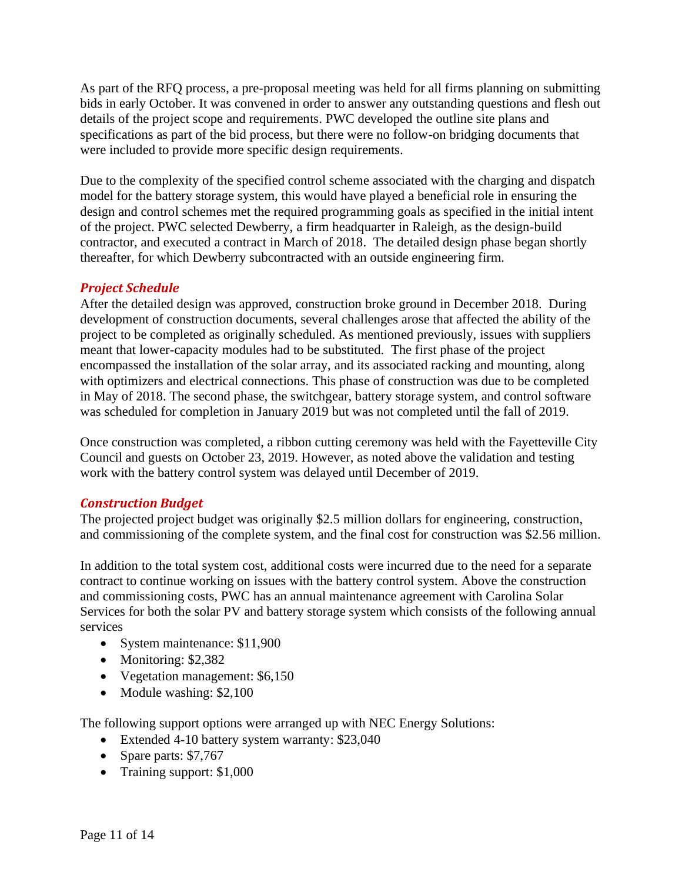As part of the RFQ process, a pre-proposal meeting was held for all firms planning on submitting bids in early October. It was convened in order to answer any outstanding questions and flesh out details of the project scope and requirements. PWC developed the outline site plans and specifications as part of the bid process, but there were no follow-on bridging documents that were included to provide more specific design requirements.

Due to the complexity of the specified control scheme associated with the charging and dispatch model for the battery storage system, this would have played a beneficial role in ensuring the design and control schemes met the required programming goals as specified in the initial intent of the project. PWC selected Dewberry, a firm headquarter in Raleigh, as the design-build contractor, and executed a contract in March of 2018. The detailed design phase began shortly thereafter, for which Dewberry subcontracted with an outside engineering firm.

## *Project Schedule*

After the detailed design was approved, construction broke ground in December 2018. During development of construction documents, several challenges arose that affected the ability of the project to be completed as originally scheduled. As mentioned previously, issues with suppliers meant that lower-capacity modules had to be substituted. The first phase of the project encompassed the installation of the solar array, and its associated racking and mounting, along with optimizers and electrical connections. This phase of construction was due to be completed in May of 2018. The second phase, the switchgear, battery storage system, and control software was scheduled for completion in January 2019 but was not completed until the fall of 2019.

Once construction was completed, a ribbon cutting ceremony was held with the Fayetteville City Council and guests on October 23, 2019. However, as noted above the validation and testing work with the battery control system was delayed until December of 2019.

#### *Construction Budget*

The projected project budget was originally \$2.5 million dollars for engineering, construction, and commissioning of the complete system, and the final cost for construction was \$2.56 million.

In addition to the total system cost, additional costs were incurred due to the need for a separate contract to continue working on issues with the battery control system. Above the construction and commissioning costs, PWC has an annual maintenance agreement with Carolina Solar Services for both the solar PV and battery storage system which consists of the following annual services

- System maintenance: \$11,900
- Monitoring: \$2,382
- Vegetation management: \$6,150
- Module washing: \$2,100

The following support options were arranged up with NEC Energy Solutions:

- Extended 4-10 battery system warranty: \$23,040
- Spare parts: \$7,767
- Training support: \$1,000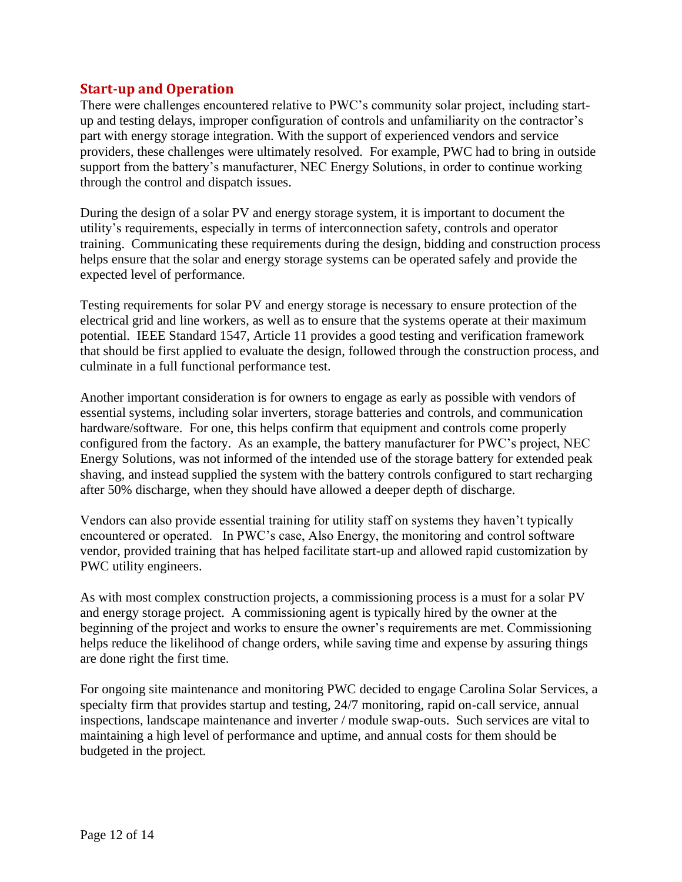## <span id="page-11-0"></span>**Start-up and Operation**

There were challenges encountered relative to PWC's community solar project, including startup and testing delays, improper configuration of controls and unfamiliarity on the contractor's part with energy storage integration. With the support of experienced vendors and service providers, these challenges were ultimately resolved. For example, PWC had to bring in outside support from the battery's manufacturer, NEC Energy Solutions, in order to continue working through the control and dispatch issues.

During the design of a solar PV and energy storage system, it is important to document the utility's requirements, especially in terms of interconnection safety, controls and operator training. Communicating these requirements during the design, bidding and construction process helps ensure that the solar and energy storage systems can be operated safely and provide the expected level of performance.

Testing requirements for solar PV and energy storage is necessary to ensure protection of the electrical grid and line workers, as well as to ensure that the systems operate at their maximum potential. IEEE Standard 1547, Article 11 provides a good testing and verification framework that should be first applied to evaluate the design, followed through the construction process, and culminate in a full functional performance test.

Another important consideration is for owners to engage as early as possible with vendors of essential systems, including solar inverters, storage batteries and controls, and communication hardware/software. For one, this helps confirm that equipment and controls come properly configured from the factory. As an example, the battery manufacturer for PWC's project, NEC Energy Solutions, was not informed of the intended use of the storage battery for extended peak shaving, and instead supplied the system with the battery controls configured to start recharging after 50% discharge, when they should have allowed a deeper depth of discharge.

Vendors can also provide essential training for utility staff on systems they haven't typically encountered or operated. In PWC's case, Also Energy, the monitoring and control software vendor, provided training that has helped facilitate start-up and allowed rapid customization by PWC utility engineers.

As with most complex construction projects, a commissioning process is a must for a solar PV and energy storage project. A commissioning agent is typically hired by the owner at the beginning of the project and works to ensure the owner's requirements are met. Commissioning helps reduce the likelihood of change orders, while saving time and expense by assuring things are done right the first time.

For ongoing site maintenance and monitoring PWC decided to engage Carolina Solar Services, a specialty firm that provides startup and testing, 24/7 monitoring, rapid on-call service, annual inspections, landscape maintenance and inverter / module swap-outs. Such services are vital to maintaining a high level of performance and uptime, and annual costs for them should be budgeted in the project.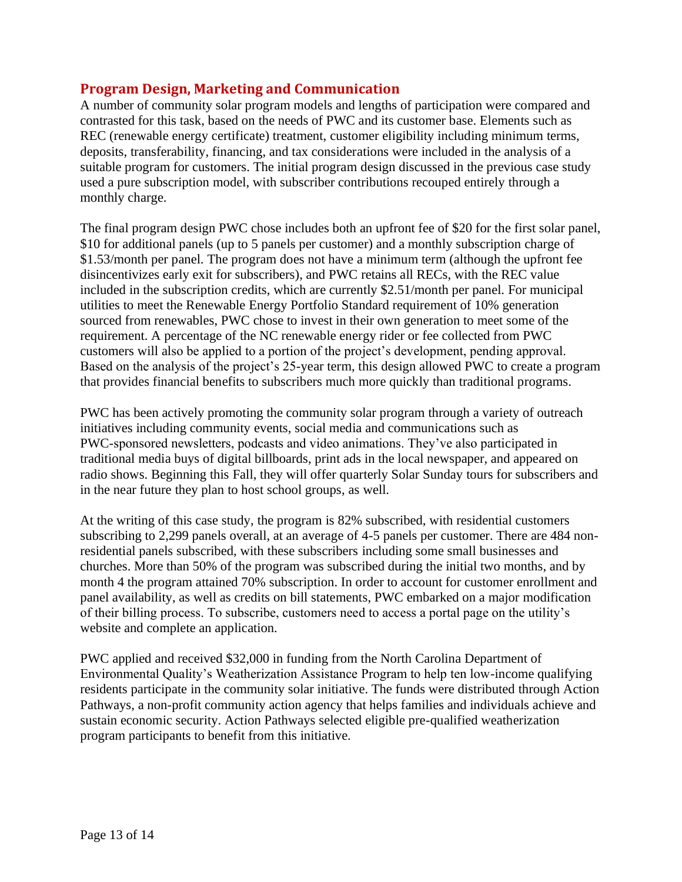## <span id="page-12-0"></span>**Program Design, Marketing and Communication**

A number of community solar program models and lengths of participation were compared and contrasted for this task, based on the needs of PWC and its customer base. Elements such as REC (renewable energy certificate) treatment, customer eligibility including minimum terms, deposits, transferability, financing, and tax considerations were included in the analysis of a suitable program for customers. The initial program design discussed in the previous case study used a pure subscription model, with subscriber contributions recouped entirely through a monthly charge.

The final program design PWC chose includes both an upfront fee of \$20 for the first solar panel, \$10 for additional panels (up to 5 panels per customer) and a monthly subscription charge of \$1.53/month per panel. The program does not have a minimum term (although the upfront fee disincentivizes early exit for subscribers), and PWC retains all RECs, with the REC value included in the subscription credits, which are currently \$2.51/month per panel. For municipal utilities to meet the Renewable Energy Portfolio Standard requirement of 10% generation sourced from renewables, PWC chose to invest in their own generation to meet some of the requirement. A percentage of the NC renewable energy rider or fee collected from PWC customers will also be applied to a portion of the project's development, pending approval. Based on the analysis of the project's 25-year term, this design allowed PWC to create a program that provides financial benefits to subscribers much more quickly than traditional programs.

PWC has been actively promoting the community solar program through a variety of outreach initiatives including community events, social media and communications such as PWC-sponsored newsletters, podcasts and video animations. They've also participated in traditional media buys of digital billboards, print ads in the local newspaper, and appeared on radio shows. Beginning this Fall, they will offer quarterly Solar Sunday tours for subscribers and in the near future they plan to host school groups, as well.

At the writing of this case study, the program is 82% subscribed, with residential customers subscribing to 2,299 panels overall, at an average of 4-5 panels per customer. There are 484 nonresidential panels subscribed, with these subscribers including some small businesses and churches. More than 50% of the program was subscribed during the initial two months, and by month 4 the program attained 70% subscription. In order to account for customer enrollment and panel availability, as well as credits on bill statements, PWC embarked on a major modification of their billing process. To subscribe, customers need to access a portal page on the utility's website and complete an application.

PWC applied and received \$32,000 in funding from the North Carolina Department of Environmental Quality's Weatherization Assistance Program to help ten low-income qualifying residents participate in the community solar initiative. The funds were distributed through Action Pathways, a non-profit community action agency that helps families and individuals achieve and sustain economic security. Action Pathways selected eligible pre-qualified weatherization program participants to benefit from this initiative.